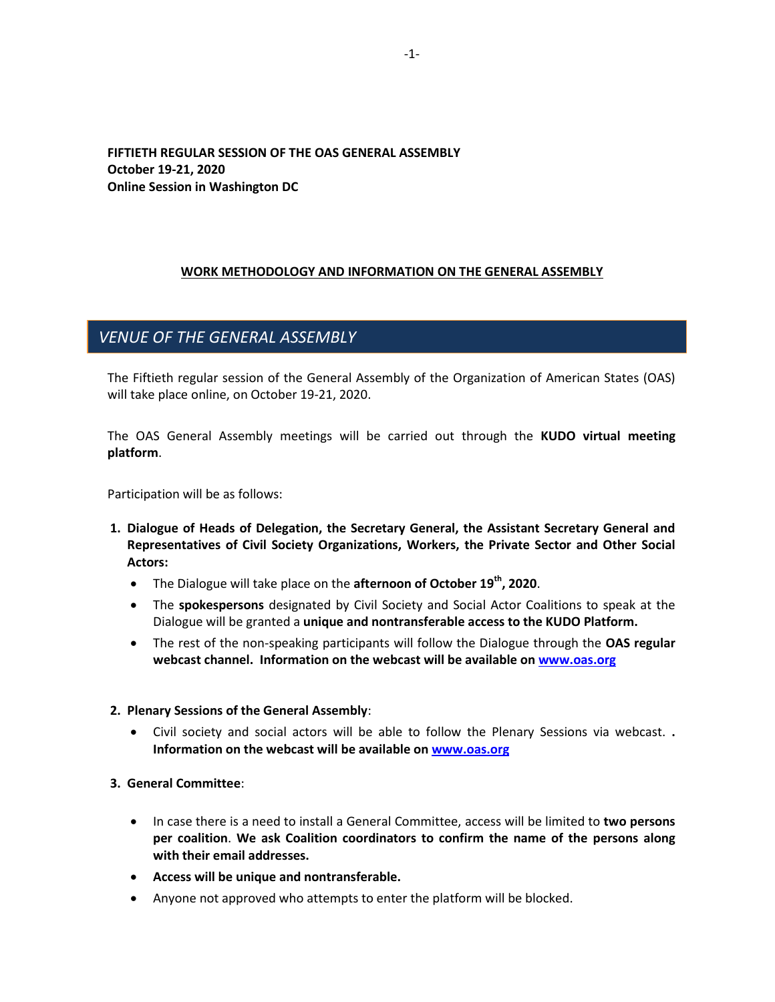## **FIFTIETH REGULAR SESSION OF THE OAS GENERAL ASSEMBLY October 19-21, 2020 Online Session in Washington DC**

## **WORK METHODOLOGY AND INFORMATION ON THE GENERAL ASSEMBLY**

## *VENUE OF THE GENERAL ASSEMBLY*

The Fiftieth regular session of the General Assembly of the Organization of American States (OAS) will take place online, on October 19-21, 2020.

The OAS General Assembly meetings will be carried out through the **KUDO virtual meeting platform**.

Participation will be as follows:

- **1. Dialogue of Heads of Delegation, the Secretary General, the Assistant Secretary General and Representatives of Civil Society Organizations, Workers, the Private Sector and Other Social Actors:**
	- The Dialogue will take place on the **afternoon of October 19th, 2020**.
	- The **spokespersons** designated by Civil Society and Social Actor Coalitions to speak at the Dialogue will be granted a **unique and nontransferable access to the KUDO Platform.**
	- The rest of the non-speaking participants will follow the Dialogue through the **OAS regular webcast channel. Information on the webcast will be available o[n www.oas.org](http://www.oas.org/)**

#### **2. Plenary Sessions of the General Assembly**:

 Civil society and social actors will be able to follow the Plenary Sessions via webcast. **. Information on the webcast will be available on [www.oas.org](http://www.oas.org/)**

### **3. General Committee**:

- In case there is a need to install a General Committee, access will be limited to **two persons per coalition**. **We ask Coalition coordinators to confirm the name of the persons along with their email addresses.**
- **Access will be unique and nontransferable.**
- Anyone not approved who attempts to enter the platform will be blocked.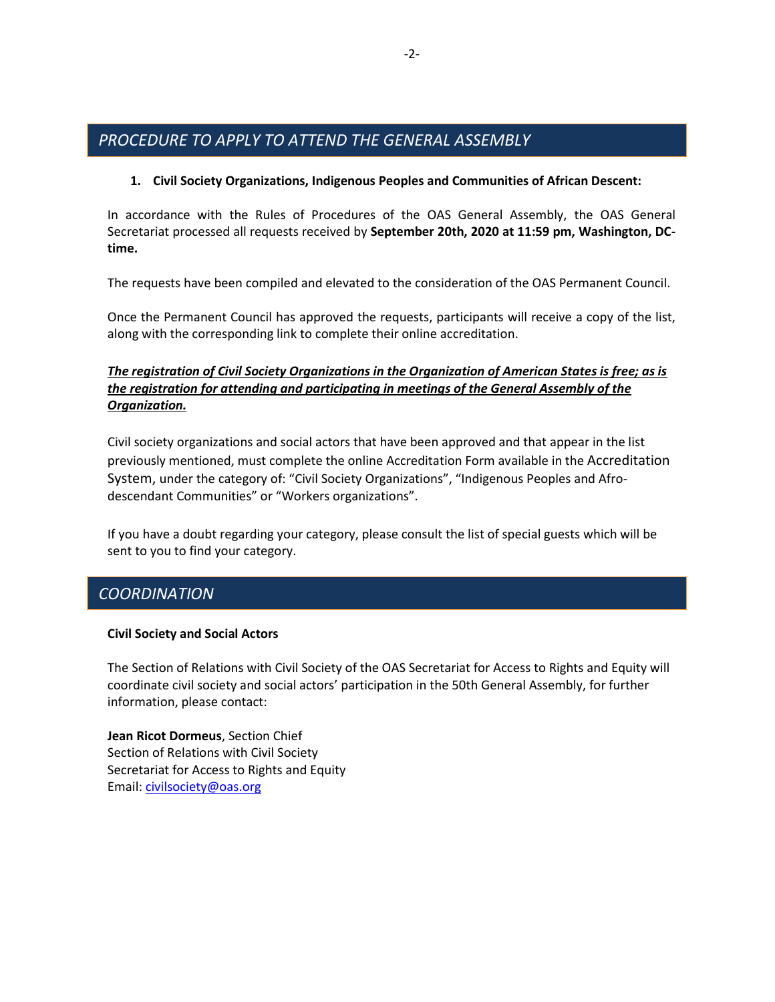# *PROCEDURE TO APPLY TO ATTEND THE GENERAL ASSEMBLY*

## **1. Civil Society Organizations, Indigenous Peoples and Communities of African Descent:**

In accordance with the Rules of Procedures of the OAS General Assembly, the OAS General Secretariat processed all requests received by **September 20th, 2020 at 11:59 pm, Washington, DCtime.**

The requests have been compiled and elevated to the consideration of the OAS Permanent Council.

Once the Permanent Council has approved the requests, participants will receive a copy of the list, along with the corresponding link to complete their online accreditation.

## *The registration of Civil Society Organizations in the Organization of American States is free; as is the registration for attending and participating in meetings of the General Assembly of the Organization.*

Civil society organizations and social actors that have been approved and that appear in the list previously mentioned, must complete the online Accreditation Form available in the Accreditation [System,](https://www.cvent.com/events/forty-ninth-regular-session-of-the-oas-general-assembly/registration-ff391d752be640abbf90f7a87dca3688.aspx?lang=en&fqp=true) under the category of: "Civil Society Organizations", "Indigenous Peoples and Afrodescendant Communities" or "Workers organizations".

If you have a doubt regarding your category, please consult the list of special guests which will be sent to you to find your category.

## *COORDINATION*

### **Civil Society and Social Actors**

The Section of Relations with Civil Society of the OAS Secretariat for Access to Rights and Equity will coordinate civil society and social actors' participation in the 50th General Assembly, for further information, please contact:

**Jean Ricot Dormeus**, Section Chief Section of Relations with Civil Society Secretariat for Access to Rights and Equity Email: [civilsociety@oas.org](mailto:civilsociety@oas.org)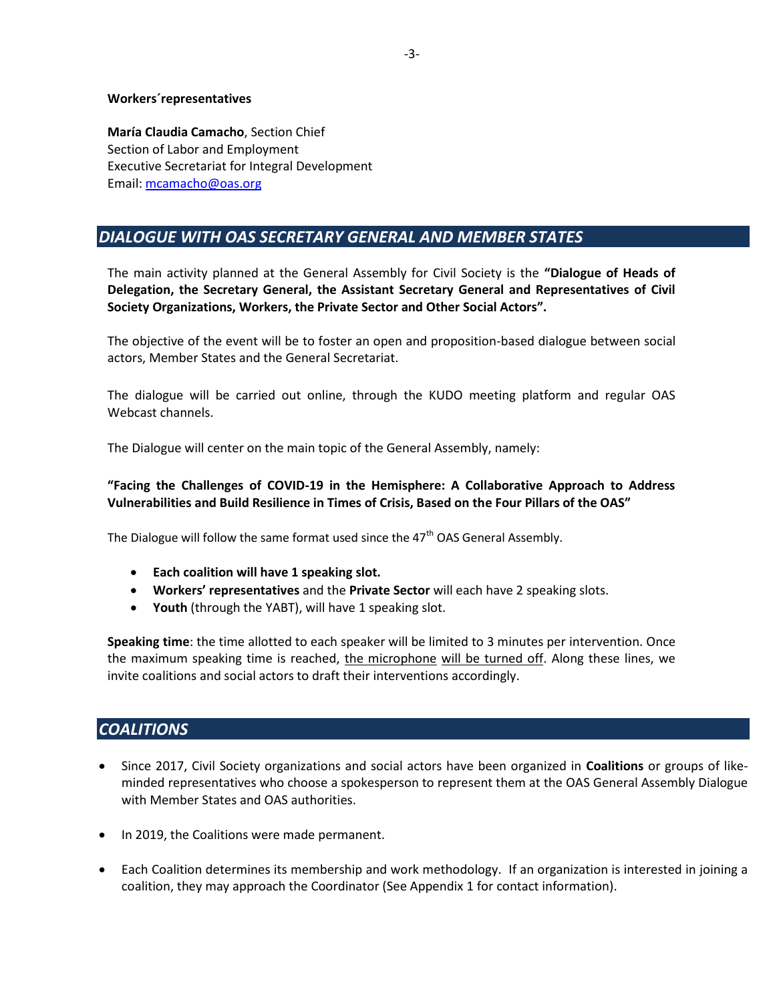#### **Workers´representatives**

**María Claudia Camacho**, Section Chief Section of Labor and Employment Executive Secretariat for Integral Development Email: [mcamacho@oas.org](mailto:mcamacho@oas.org)

# *DIALOGUE WITH OAS SECRETARY GENERAL AND MEMBER STATES*

The main activity planned at the General Assembly for Civil Society is the **"Dialogue of Heads of Delegation, the Secretary General, the Assistant Secretary General and Representatives of Civil Society Organizations, Workers, the Private Sector and Other Social Actors".**

The objective of the event will be to foster an open and proposition-based dialogue between social actors, Member States and the General Secretariat.

The dialogue will be carried out online, through the KUDO meeting platform and regular OAS Webcast channels.

The Dialogue will center on the main topic of the General Assembly, namely:

### **"Facing the Challenges of COVID-19 in the Hemisphere: A Collaborative Approach to Address Vulnerabilities and Build Resilience in Times of Crisis, Based on the Four Pillars of the OAS"**

The Dialogue will follow the same format used since the  $47<sup>th</sup>$  OAS General Assembly.

- **Each coalition will have 1 speaking slot.**
- **Workers' representatives** and the **Private Sector** will each have 2 speaking slots.
- **Youth** (through the YABT), will have 1 speaking slot.

**Speaking time**: the time allotted to each speaker will be limited to 3 minutes per intervention. Once the maximum speaking time is reached, the microphone will be turned off. Along these lines, we invite coalitions and social actors to draft their interventions accordingly.

## *COALITIONS*

- Since 2017, Civil Society organizations and social actors have been organized in **Coalitions** or groups of likeminded representatives who choose a spokesperson to represent them at the OAS General Assembly Dialogue with Member States and OAS authorities.
- In 2019, the Coalitions were made permanent.
- Each Coalition determines its membership and work methodology. If an organization is interested in joining a coalition, they may approach the Coordinator (See Appendix 1 for contact information).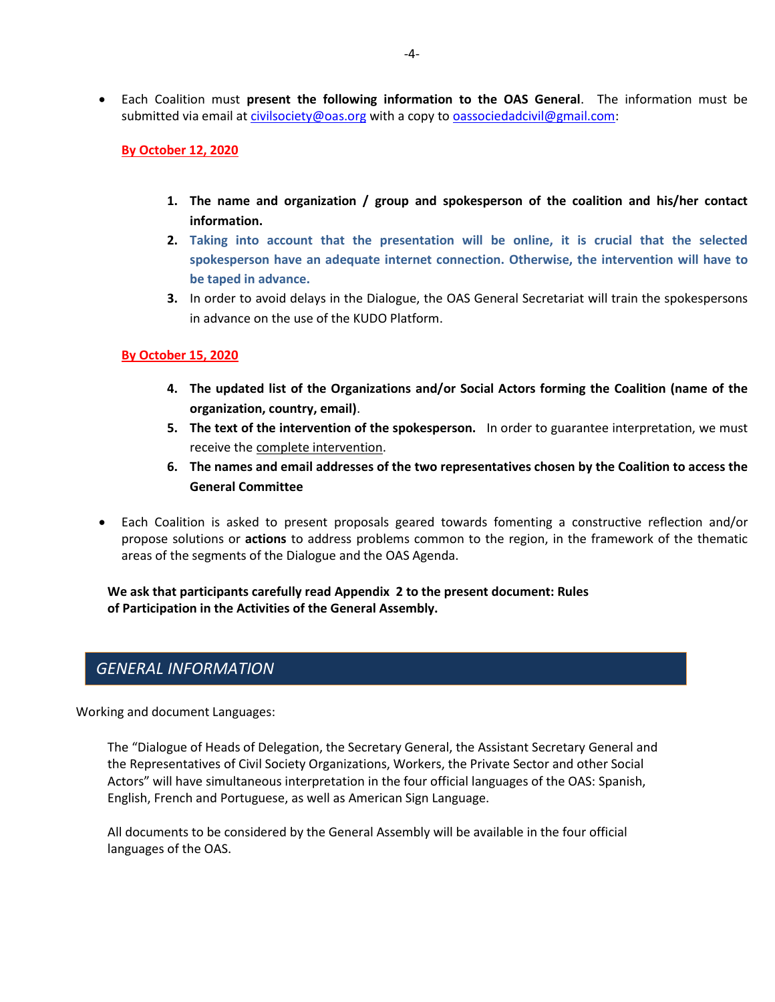Each Coalition must **present the following information to the OAS General**. The information must be submitted via email at [civilsociety@oas.org](mailto:civilsociety@oas.org) with a copy t[o oassociedadcivil@gmail.com:](mailto:oassociedadcivil@gmail.com)

**By October 12, 2020**

- **1. The name and organization / group and spokesperson of the coalition and his/her contact information.**
- **2. Taking into account that the presentation will be online, it is crucial that the selected spokesperson have an adequate internet connection. Otherwise, the intervention will have to be taped in advance.**
- **3.** In order to avoid delays in the Dialogue, the OAS General Secretariat will train the spokespersons in advance on the use of the KUDO Platform.

### **By October 15, 2020**

- **4. The updated list of the Organizations and/or Social Actors forming the Coalition (name of the organization, country, email)**.
- **5. The text of the intervention of the spokesperson.** In order to guarantee interpretation, we must receive the complete intervention.
- **6. The names and email addresses of the two representatives chosen by the Coalition to access the General Committee**
- Each Coalition is asked to present proposals geared towards fomenting a constructive reflection and/or propose solutions or **actions** to address problems common to the region, in the framework of the thematic areas of the segments of the Dialogue and the OAS Agenda.

**We ask that participants carefully read Appendix 2 to the present document: Rules of Participation in the Activities of the General Assembly.**

## *GENERAL INFORMATION*

Working and document Languages:

The "Dialogue of Heads of Delegation, the Secretary General, the Assistant Secretary General and the Representatives of Civil Society Organizations, Workers, the Private Sector and other Social Actors" will have simultaneous interpretation in the four official languages of the OAS: Spanish, English, French and Portuguese, as well as American Sign Language.

All documents to be considered by the General Assembly will be available in the four official languages of the OAS.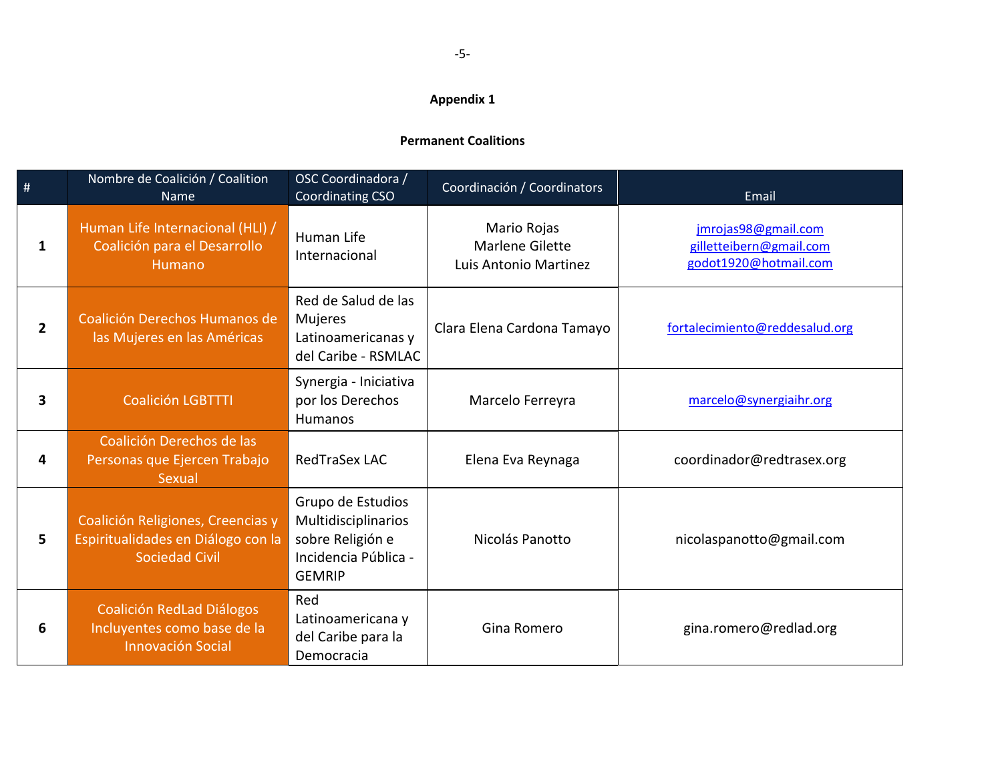## **Appendix 1**

## **Permanent Coalitions**

| $\frac{1}{2}$           | Nombre de Coalición / Coalition<br>Name                                                          | OSC Coordinadora /<br><b>Coordinating CSO</b>                                                         | Coordinación / Coordinators                                    | Email                                                                   |
|-------------------------|--------------------------------------------------------------------------------------------------|-------------------------------------------------------------------------------------------------------|----------------------------------------------------------------|-------------------------------------------------------------------------|
| 1                       | Human Life Internacional (HLI) /<br>Coalición para el Desarrollo<br>Humano                       | Human Life<br>Internacional                                                                           | Mario Rojas<br><b>Marlene Gilette</b><br>Luis Antonio Martinez | jmrojas98@gmail.com<br>gilletteibern@gmail.com<br>godot1920@hotmail.com |
| $\overline{2}$          | Coalición Derechos Humanos de<br>las Mujeres en las Américas                                     | Red de Salud de las<br><b>Mujeres</b><br>Latinoamericanas y<br>del Caribe - RSMLAC                    | Clara Elena Cardona Tamayo                                     | fortalecimiento@reddesalud.org                                          |
| $\overline{\mathbf{3}}$ | <b>Coalición LGBTTTI</b>                                                                         | Synergia - Iniciativa<br>por los Derechos<br>Humanos                                                  | Marcelo Ferreyra                                               | marcelo@synergiaihr.org                                                 |
| 4                       | Coalición Derechos de las<br>Personas que Ejercen Trabajo<br>Sexual                              | RedTraSex LAC                                                                                         | Elena Eva Reynaga                                              | coordinador@redtrasex.org                                               |
| 5                       | Coalición Religiones, Creencias y<br>Espiritualidades en Diálogo con la<br><b>Sociedad Civil</b> | Grupo de Estudios<br>Multidisciplinarios<br>sobre Religión e<br>Incidencia Pública -<br><b>GEMRIP</b> | Nicolás Panotto                                                | nicolaspanotto@gmail.com                                                |
| 6                       | Coalición RedLad Diálogos<br>Incluyentes como base de la<br><b>Innovación Social</b>             | Red<br>Latinoamericana y<br>del Caribe para la<br>Democracia                                          | Gina Romero                                                    | gina.romero@redlad.org                                                  |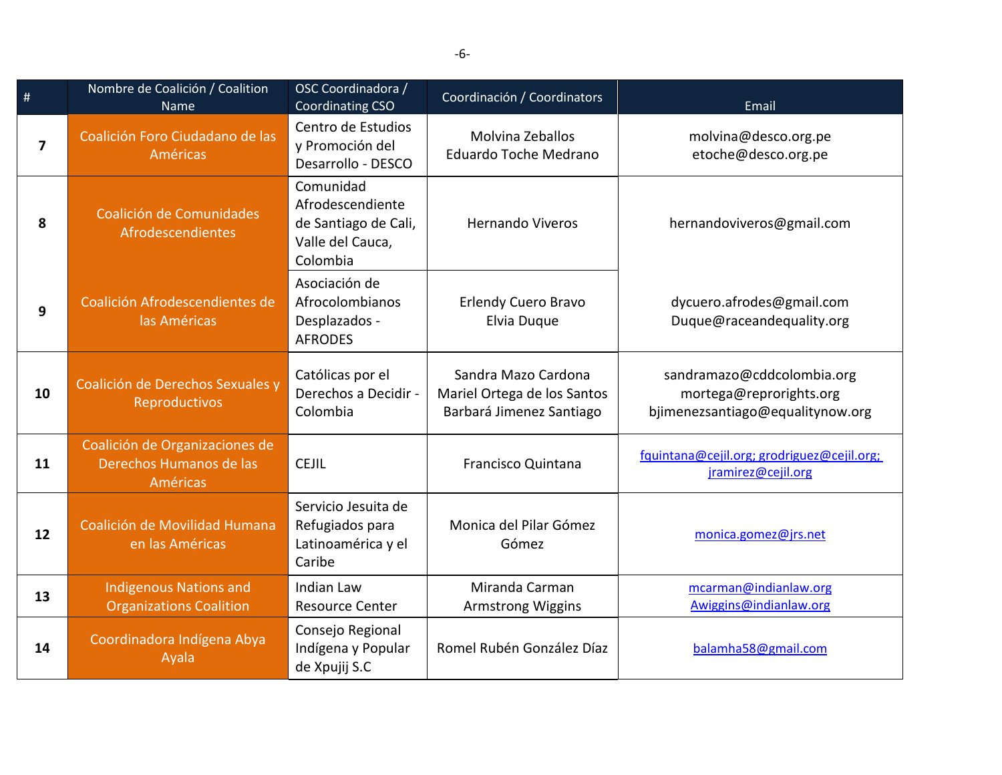| $\#$                    | Nombre de Coalición / Coalition<br>Name                                      | OSC Coordinadora /<br><b>Coordinating CSO</b>                                         | Coordinación / Coordinators                                                    | Email                                                                                     |
|-------------------------|------------------------------------------------------------------------------|---------------------------------------------------------------------------------------|--------------------------------------------------------------------------------|-------------------------------------------------------------------------------------------|
| $\overline{\mathbf{z}}$ | Coalición Foro Ciudadano de las<br>Américas                                  | Centro de Estudios<br>y Promoción del<br>Desarrollo - DESCO                           | Molvina Zeballos<br>Eduardo Toche Medrano                                      | molvina@desco.org.pe<br>etoche@desco.org.pe                                               |
| 8                       | Coalición de Comunidades<br>Afrodescendientes                                | Comunidad<br>Afrodescendiente<br>de Santiago de Cali,<br>Valle del Cauca,<br>Colombia | <b>Hernando Viveros</b>                                                        | hernandoviveros@gmail.com                                                                 |
| 9                       | Coalición Afrodescendientes de<br>las Américas                               | Asociación de<br>Afrocolombianos<br>Desplazados -<br><b>AFRODES</b>                   | <b>Erlendy Cuero Bravo</b><br>Elvia Duque                                      | dycuero.afrodes@gmail.com<br>Duque@raceandequality.org                                    |
| 10                      | Coalición de Derechos Sexuales y<br>Reproductivos                            | Católicas por el<br>Derechos a Decidir -<br>Colombia                                  | Sandra Mazo Cardona<br>Mariel Ortega de los Santos<br>Barbará Jimenez Santiago | sandramazo@cddcolombia.org<br>mortega@reprorights.org<br>bjimenezsantiago@equalitynow.org |
| 11                      | Coalición de Organizaciones de<br>Derechos Humanos de las<br><b>Américas</b> | <b>CEJIL</b>                                                                          | Francisco Quintana                                                             | fquintana@cejil.org; grodriguez@cejil.org;<br>jramirez@cejil.org                          |
| 12                      | Coalición de Movilidad Humana<br>en las Américas                             | Servicio Jesuita de<br>Refugiados para<br>Latinoamérica y el<br>Caribe                | Monica del Pilar Gómez<br>Gómez                                                | monica.gomez@jrs.net                                                                      |
| 13                      | <b>Indigenous Nations and</b><br><b>Organizations Coalition</b>              | <b>Indian Law</b><br><b>Resource Center</b>                                           | Miranda Carman<br><b>Armstrong Wiggins</b>                                     | mcarman@indianlaw.org<br>Awiggins@indianlaw.org                                           |
| 14                      | Coordinadora Indígena Abya<br>Ayala                                          | Consejo Regional<br>Indígena y Popular<br>de Xpujij S.C                               | Romel Rubén González Díaz                                                      | balamha58@gmail.com                                                                       |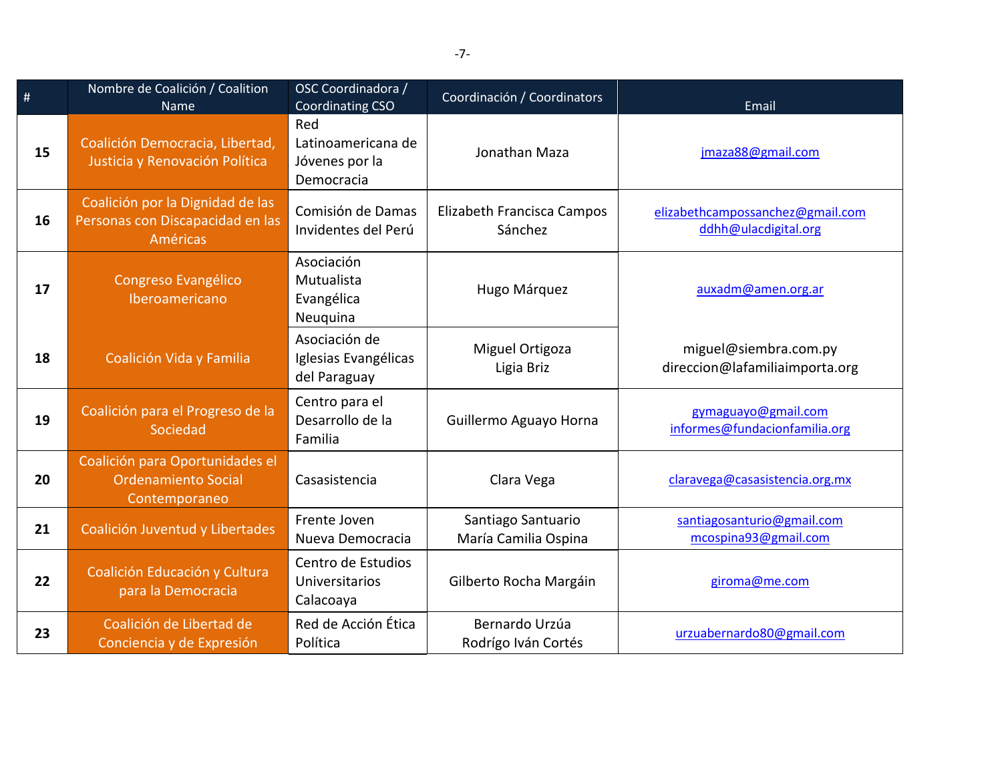| $\#$ | Nombre de Coalición / Coalition<br>Name                                                 | OSC Coordinadora /<br>Coordinating CSO                    | Coordinación / Coordinators                | Email                                                    |
|------|-----------------------------------------------------------------------------------------|-----------------------------------------------------------|--------------------------------------------|----------------------------------------------------------|
| 15   | Coalición Democracia, Libertad,<br>Justicia y Renovación Política                       | Red<br>Latinoamericana de<br>Jóvenes por la<br>Democracia | Jonathan Maza                              | jmaza88@gmail.com                                        |
| 16   | Coalición por la Dignidad de las<br>Personas con Discapacidad en las<br><b>Américas</b> | Comisión de Damas<br>Invidentes del Perú                  | Elizabeth Francisca Campos<br>Sánchez      | elizabethcampossanchez@gmail.com<br>ddhh@ulacdigital.org |
| 17   | Congreso Evangélico<br>Iberoamericano                                                   | Asociación<br>Mutualista<br>Evangélica<br>Neuquina        | Hugo Márquez                               | auxadm@amen.org.ar                                       |
| 18   | Coalición Vida y Familia                                                                | Asociación de<br>Iglesias Evangélicas<br>del Paraguay     | Miguel Ortigoza<br>Ligia Briz              | miguel@siembra.com.py<br>direccion@lafamiliaimporta.org  |
| 19   | Coalición para el Progreso de la<br>Sociedad                                            | Centro para el<br>Desarrollo de la<br>Familia             | Guillermo Aguayo Horna                     | gymaguayo@gmail.com<br>informes@fundacionfamilia.org     |
| 20   | Coalición para Oportunidades el<br><b>Ordenamiento Social</b><br>Contemporaneo          | Casasistencia                                             | Clara Vega                                 | claravega@casasistencia.org.mx                           |
| 21   | Coalición Juventud y Libertades                                                         | Frente Joven<br>Nueva Democracia                          | Santiago Santuario<br>María Camilia Ospina | santiagosanturio@gmail.com<br>mcospina93@gmail.com       |
| 22   | Coalición Educación y Cultura<br>para la Democracia                                     | Centro de Estudios<br><b>Universitarios</b><br>Calacoaya  | Gilberto Rocha Margáin                     | giroma@me.com                                            |
| 23   | Coalición de Libertad de<br>Conciencia y de Expresión                                   | Red de Acción Ética<br>Política                           | Bernardo Urzúa<br>Rodrígo Iván Cortés      | urzuabernardo80@gmail.com                                |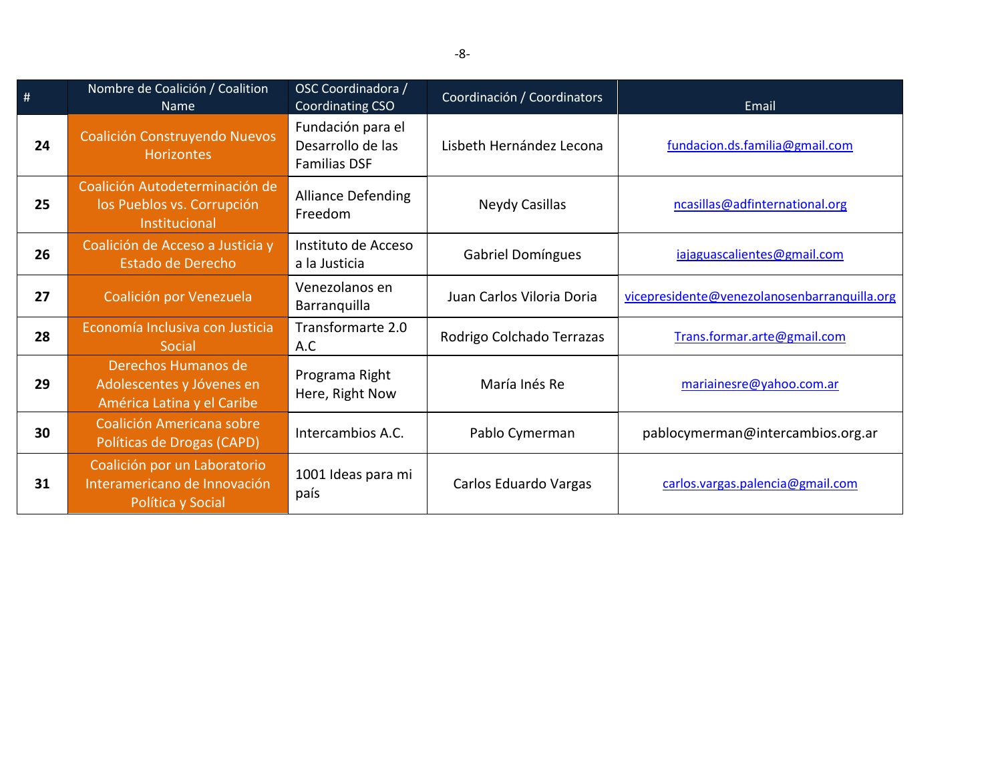| #  | Nombre de Coalición / Coalition<br><b>Name</b>                                    | OSC Coordinadora /<br>Coordinating CSO                        | Coordinación / Coordinators | Email                                        |
|----|-----------------------------------------------------------------------------------|---------------------------------------------------------------|-----------------------------|----------------------------------------------|
| 24 | Coalición Construyendo Nuevos<br><b>Horizontes</b>                                | Fundación para el<br>Desarrollo de las<br><b>Familias DSF</b> | Lisbeth Hernández Lecona    | fundacion.ds.familia@gmail.com               |
| 25 | Coalición Autodeterminación de<br>los Pueblos vs. Corrupción<br>Institucional     | <b>Alliance Defending</b><br>Freedom                          | Neydy Casillas              | ncasillas@adfinternational.org               |
| 26 | Coalición de Acceso a Justicia y<br>Estado de Derecho                             | Instituto de Acceso<br>a la Justicia                          | <b>Gabriel Domíngues</b>    | iajaguascalientes@gmail.com                  |
| 27 | Coalición por Venezuela                                                           | Venezolanos en<br>Barranquilla                                | Juan Carlos Viloria Doria   | vicepresidente@venezolanosenbarranquilla.org |
| 28 | Economía Inclusiva con Justicia<br>Social                                         | Transformarte 2.0<br>A.C                                      | Rodrigo Colchado Terrazas   | Trans.formar.arte@gmail.com                  |
| 29 | Derechos Humanos de<br>Adolescentes y Jóvenes en<br>América Latina y el Caribe    | Programa Right<br>Here, Right Now                             | María Inés Re               | mariainesre@yahoo.com.ar                     |
| 30 | Coalición Americana sobre<br>Políticas de Drogas (CAPD)                           | Intercambios A.C.                                             | Pablo Cymerman              | pablocymerman@intercambios.org.ar            |
| 31 | Coalición por un Laboratorio<br>Interamericano de Innovación<br>Política y Social | 1001 Ideas para mi<br>país                                    | Carlos Eduardo Vargas       | carlos.vargas.palencia@gmail.com             |